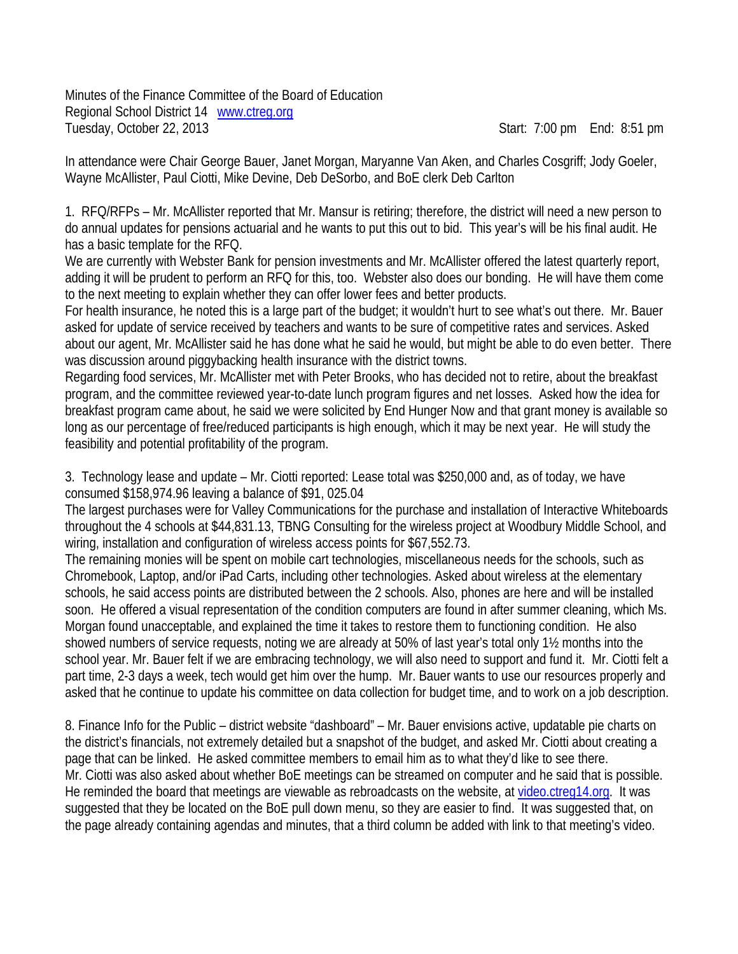Minutes of the Finance Committee of the Board of Education Regional School District 14 www.ctreg.org Tuesday, October 22, 2013 Start: 7:00 pm End: 8:51 pm

In attendance were Chair George Bauer, Janet Morgan, Maryanne Van Aken, and Charles Cosgriff; Jody Goeler, Wayne McAllister, Paul Ciotti, Mike Devine, Deb DeSorbo, and BoE clerk Deb Carlton

1. RFQ/RFPs – Mr. McAllister reported that Mr. Mansur is retiring; therefore, the district will need a new person to do annual updates for pensions actuarial and he wants to put this out to bid. This year's will be his final audit. He has a basic template for the RFQ.

We are currently with Webster Bank for pension investments and Mr. McAllister offered the latest quarterly report, adding it will be prudent to perform an RFQ for this, too. Webster also does our bonding. He will have them come to the next meeting to explain whether they can offer lower fees and better products.

For health insurance, he noted this is a large part of the budget; it wouldn't hurt to see what's out there. Mr. Bauer asked for update of service received by teachers and wants to be sure of competitive rates and services. Asked about our agent, Mr. McAllister said he has done what he said he would, but might be able to do even better. There was discussion around piggybacking health insurance with the district towns.

Regarding food services, Mr. McAllister met with Peter Brooks, who has decided not to retire, about the breakfast program, and the committee reviewed year-to-date lunch program figures and net losses. Asked how the idea for breakfast program came about, he said we were solicited by End Hunger Now and that grant money is available so long as our percentage of free/reduced participants is high enough, which it may be next year. He will study the feasibility and potential profitability of the program.

3. Technology lease and update – Mr. Ciotti reported: Lease total was \$250,000 and, as of today, we have consumed \$158,974.96 leaving a balance of \$91, 025.04

The largest purchases were for Valley Communications for the purchase and installation of Interactive Whiteboards throughout the 4 schools at \$44,831.13, TBNG Consulting for the wireless project at Woodbury Middle School, and wiring, installation and configuration of wireless access points for \$67,552.73.

The remaining monies will be spent on mobile cart technologies, miscellaneous needs for the schools, such as Chromebook, Laptop, and/or iPad Carts, including other technologies. Asked about wireless at the elementary schools, he said access points are distributed between the 2 schools. Also, phones are here and will be installed soon. He offered a visual representation of the condition computers are found in after summer cleaning, which Ms. Morgan found unacceptable, and explained the time it takes to restore them to functioning condition. He also showed numbers of service requests, noting we are already at 50% of last year's total only 1½ months into the school year. Mr. Bauer felt if we are embracing technology, we will also need to support and fund it. Mr. Ciotti felt a part time, 2-3 days a week, tech would get him over the hump. Mr. Bauer wants to use our resources properly and asked that he continue to update his committee on data collection for budget time, and to work on a job description.

8. Finance Info for the Public – district website "dashboard" – Mr. Bauer envisions active, updatable pie charts on the district's financials, not extremely detailed but a snapshot of the budget, and asked Mr. Ciotti about creating a page that can be linked. He asked committee members to email him as to what they'd like to see there. Mr. Ciotti was also asked about whether BoE meetings can be streamed on computer and he said that is possible. He reminded the board that meetings are viewable as rebroadcasts on the website, at video.ctreg14.org. It was suggested that they be located on the BoE pull down menu, so they are easier to find. It was suggested that, on the page already containing agendas and minutes, that a third column be added with link to that meeting's video.